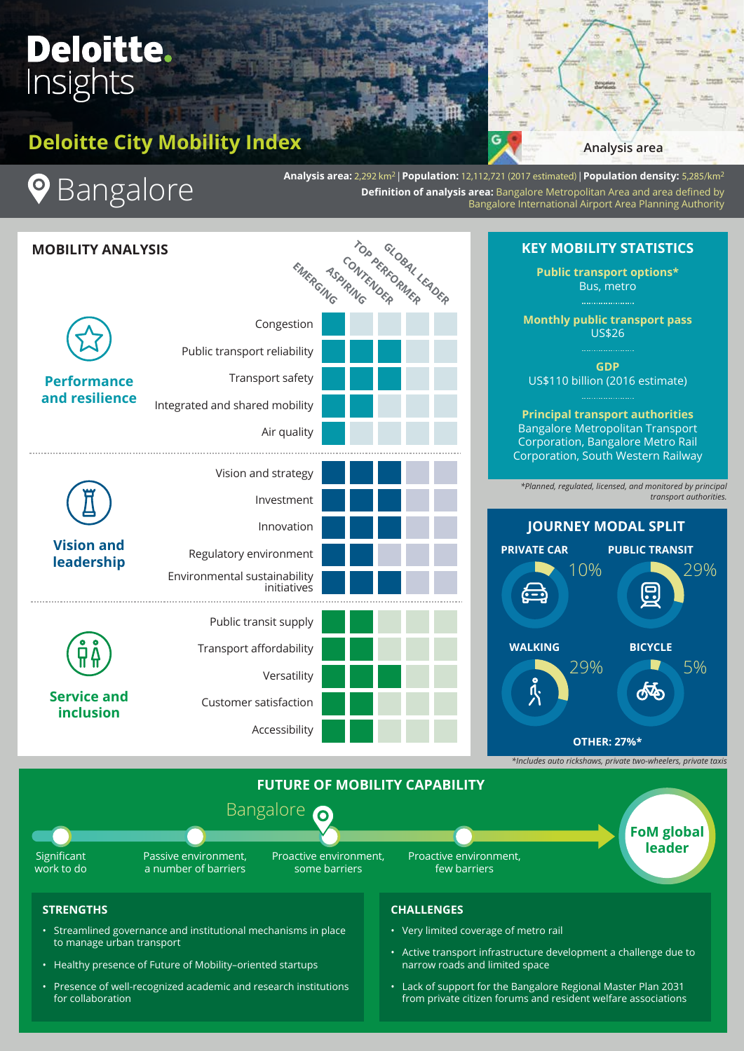# **Deloitte.** Insights

# **Deloitte City Mobility Index**



# **9** Bangalore

**Analysis area:** 2,292 km2 | **Population:** 12,112,721 (2017 estimated) | **Population density:** 5,285/km2 **Definition of analysis area:** Bangalore Metropolitan Area and area defined by Bangalore International Airport Area Planning Authority



# **KEY MOBILITY STATISTICS**

**Public transport options\*** Bus, metro

**Monthly public transport pass**  US\$26

**GDP** US\$110 billion (2016 estimate)

**Principal transport authorities** Bangalore Metropolitan Transport Corporation, Bangalore Metro Rail Corporation, South Western Railway

*\*Planned, regulated, licensed, and monitored by principal transport authorities.*





### **STRENGTHS**

- Streamlined governance and institutional mechanisms in place to manage urban transport
- Healthy presence of Future of Mobility–oriented startups
- Presence of well-recognized academic and research institutions for collaboration

### **CHALLENGES**

- Very limited coverage of metro rail
- Active transport infrastructure development a challenge due to narrow roads and limited space
- Lack of support for the Bangalore Regional Master Plan 2031 from private citizen forums and resident welfare associations